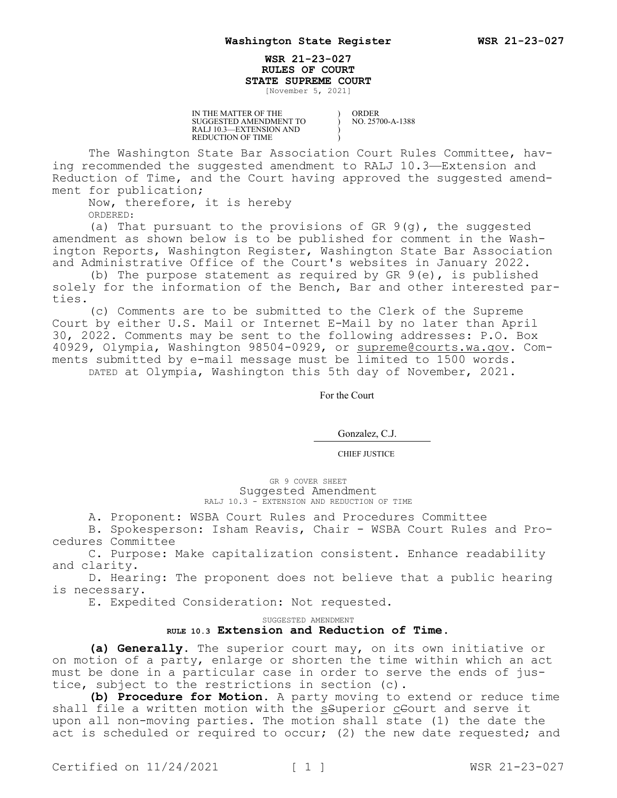## **WSR 21-23-027 RULES OF COURT STATE SUPREME COURT**

) ) ) )

[November 5, 2021]

IN THE MATTER OF THE SUGGESTED AMENDMENT TO RALJ 10.3—EXTENSION AND REDUCTION OF TIME

ORDER NO. 25700-A-1388

The Washington State Bar Association Court Rules Committee, having recommended the suggested amendment to RALJ 10.3—Extension and Reduction of Time, and the Court having approved the suggested amendment for publication;

Now, therefore, it is hereby

ORDERED:

(a) That pursuant to the provisions of GR 9(g), the suggested amendment as shown below is to be published for comment in the Washington Reports, Washington Register, Washington State Bar Association and Administrative Office of the Court's websites in January 2022.

(b) The purpose statement as required by GR  $9(e)$ , is published solely for the information of the Bench, Bar and other interested parties.

(c) Comments are to be submitted to the Clerk of the Supreme Court by either U.S. Mail or Internet E-Mail by no later than April 30, 2022. Comments may be sent to the following addresses: P.O. Box 40929, Olympia, Washington 98504-0929, or supreme@courts.wa.qov. Comments submitted by e-mail message must be limited to 1500 words. DATED at Olympia, Washington this 5th day of November, 2021.

For the Court

Gonzalez, C.J.

CHIEF JUSTICE

GR 9 COVER SHEET Suggested Amendment RALJ 10.3 - EXTENSION AND REDUCTION OF TIME

A. Proponent: WSBA Court Rules and Procedures Committee

B. Spokesperson: Isham Reavis, Chair - WSBA Court Rules and Procedures Committee

C. Purpose: Make capitalization consistent. Enhance readability and clarity.

D. Hearing: The proponent does not believe that a public hearing is necessary.

E. Expedited Consideration: Not requested.

## SUGGESTED AMENDMENT **RULE 10.3 Extension and Reduction of Time.**

**(a) Generally.** The superior court may, on its own initiative or on motion of a party, enlarge or shorten the time within which an act must be done in a particular case in order to serve the ends of justice, subject to the restrictions in section (c).

**(b) Procedure for Motion.** A party moving to extend or reduce time shall file a written motion with the superior ceourt and serve it upon all non-moving parties. The motion shall state (1) the date the act is scheduled or required to occur; (2) the new date requested; and